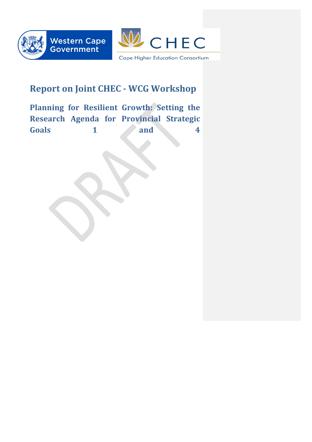



# **Report on Joint CHEC - WCG Workshop**

Planning for Resilient Growth: Setting the **Research Agenda for Provincial Strategic Goals** 1 and 4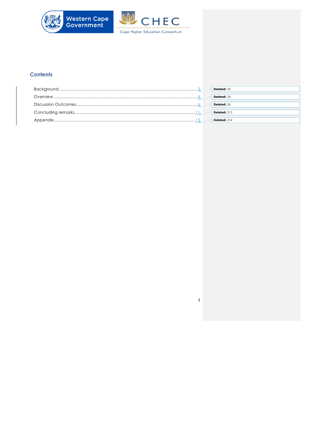

## **Contents**

|  | <b>Deleted: 23</b>  |
|--|---------------------|
|  | <b>Deleted: 24</b>  |
|  | Deleted: 26         |
|  | <b>Deleted:</b> 212 |
|  | <b>Deleted:</b> 214 |

 $\overline{2}$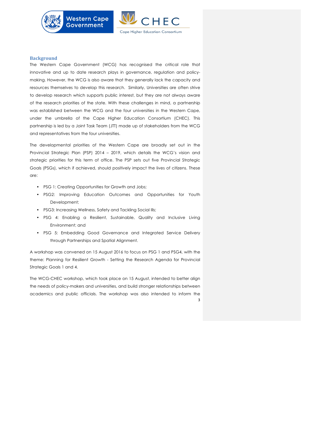

#### **Background**

The Western Cape Government (WCG) has recognised the critical role that innovative and up to date research plays in governance, regulation and policymaking. However, the WCG is also aware that they generally lack the capacity and resources themselves to develop this research. Similarly, Universities are often strive to develop research which supports public interest, but they are not always aware of the research priorities of the state. With these challenges in mind, a partnership was established between the WCG and the four universities in the Western Cape, under the umbrella of the Cape Higher Education Consortium (CHEC). This partnership is led by a Joint Task Team (JTT) made up of stakeholders from the WCG and representatives from the four universities.

The developmental priorities of the Western Cape are broadly set out in the Provincial Strategic Plan (PSP) 2014 – 2019, which details the WCG's vision and strategic priorities for this term of office. The PSP sets out five Provincial Strategic Goals (PSGs), which if achieved, should positively impact the lives of citizens. These are:

• PSG 1: Creating Opportunities for Growth and Jobs;

**Western Cape** 

**Government** 

- PSG2: Improving Education Outcomes and Opportunities for Youth Development;
- PSG3: Increasing Wellness, Safety and Tackling Social Ills;
- PSG 4: Enabling a Resilient, Sustainable, Quality and Inclusive Living Environment; and
- PSG 5: Embedding Good Governance and Integrated Service Delivery through Partnerships and Spatial Alignment.

A workshop was convened on 15 August 2016 to focus on PSG 1 and PSG4, with the theme: Planning for Resilient Growth - Setting the Research Agenda for Provincial Strategic Goals 1 and 4.

3 The WCG-CHEC workshop, which took place on 15 August, intended to better align the needs of policy-makers and universities, and build stronger relationships between academics and public officials. The workshop was also intended to inform the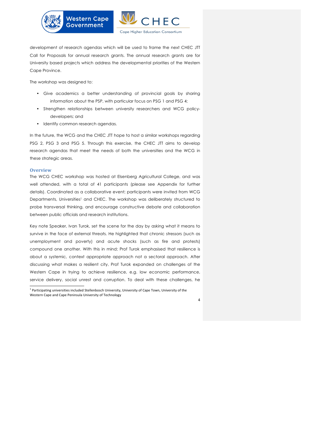

development of research agendas which will be used to frame the next CHEC JTT Call for Proposals for annual research grants. The annual research grants are for University based projects which address the developmental priorities of the Western Cape Province.

The workshop was designed to:

- Give academics a better understanding of provincial goals by sharing information about the PSP, with particular focus on PSG 1 and PSG 4;
- Strengthen relationships between university researchers and WCG policydevelopers; and
- Identify common research agendas.

In the future, the WCG and the CHEC JTT hope to host a similar workshops regarding PSG 2, PSG 3 and PSG 5. Through this exercise, the CHEC JTT aims to develop research agendas that meet the needs of both the universities and the WCG in these strategic areas.

#### **Overview**

The WCG CHEC workshop was hosted at Elsenberg Agricultural College, and was well attended, with a total of 41 participants (please see Appendix for further details). Coordinated as a collaborative event; participants were invited from WCG Departments, Universities<sup>1</sup> and CHEC. The workshop was deliberately structured to probe transversal thinking, and encourage constructive debate and collaboration between public officials and research institutions.

Key note Speaker, Ivan Turok, set the scene for the day by asking what it means to survive in the face of external threats. He highlighted that chronic stressors (such as unemployment and poverty) and acute shocks (such as fire and protests) compound one another. With this in mind; Prof Turok emphasised that resilience is about a systemic, context appropriate approach not a sectoral approach. After discussing what makes a resilient city, Prof Turok expanded on challenges of the Western Cape in trying to achieve resilience, e.g. low economic performance, service delivery, social unrest and corruption. To deal with these challenges, he

 $^{\rm 1}$  Participating universities included Stellenbosch University, University of Cape Town, University of the Western Cape and Cape Peninsula University of Technology

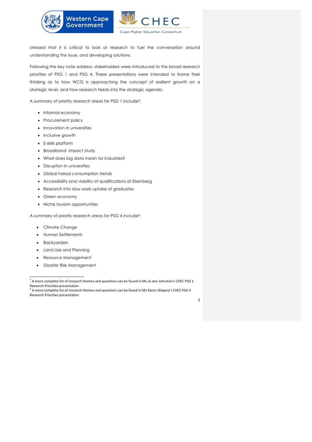

stressed that it is critical to look at research to fuel the conversation around understanding the issue, and developing solutions.

Following the key note address, stakeholders were introduced to the broad research priorities of PSG 1 and PSG 4. These presentations were intended to frame their thinking as to how WCG is approaching the concept of resilient growth on a strategic level, and how research feeds into the strategic agenda.

A summary of priority research areas for PSG 1 include2:

- Informal economy
- Procurement policy
- Innovation in universities
- Inclusive growth
- E-skills platform
- Broadband impact study
- What does big data mean for industries?
- Disruption in universities
- Global halaal consumption trends
- Accessibility and viability of qualifications at Elsenberg
- Research into slow work uptake of graduates
- Green economy
- Niche tourism opportunities

A summary of priority research areas for PSG 4 include3:

- Climate Change
- Human Settlements
- Backyarders
- Land Use and Planning
- Resource Management
- Disaster Risk Management

<sup>&</sup>lt;sup>3</sup> A more complete list of research themes and questions can be found in Ms Karen Shippey's CHEC PSG 4 Research Priorities presentation



<sup>&</sup>lt;u> 1989 - Johann Barn, mars eta inperiodo</u>  $2$  A more complete list of research themes and questions can be found in Ms Jo-ann Johnston's CHEC PSG 1 Research Priorities presentation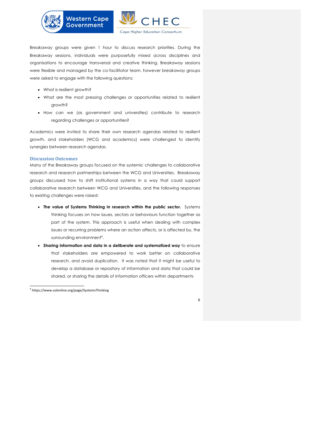

Breakaway groups were given 1 hour to discuss research priorities. During the Breakaway sessions, individuals were purposefully mixed across disciplines and organisations to encourage transversal and creative thinking. Breakaway sessions were flexible and managed by the co-facilitator team, however breakaway groups were asked to engage with the following questions:

- What is resilient growth?
- What are the most pressing challenges or opportunities related to resilient growth?
- How can we (as government and universities) contribute to research regarding challenges or opportunities?

Academics were invited to share their own research agendas related to resilient growth, and stakeholders (WCG and academics) were challenged to identify synergies between research agendas.

#### **Discussion Outcomes**

Many of the Breakaway groups focused on the systemic challenges to collaborative research and research partnerships between the WCG and Universities. Breakaway groups discussed how to shift institutional systems in a way that could support collaborative research between WCG and Universities, and the following responses to existing challenges were raised:

- **The value of Systems Thinking in research within the public sector.** Systems thinking focuses on how issues, sectors or behaviours function together as part of the system. This approach is useful when dealing with complex issues or recurring problems where an action affects, or is affected by, the surrounding environment<sup>4</sup>.
- **Sharing information and data in a deliberate and systematized way** to ensure that stakeholders are empowered to work better on collaborative research, and avoid duplication. It was noted that it might be useful to develop a database or repository of information and data that could be shared, or sharing the details of information officers within departments

<u> 1989 - Johann Barn, mars eta inperiodo</u>

<sup>4</sup> https://www.solonline.org/page/SystemsThinking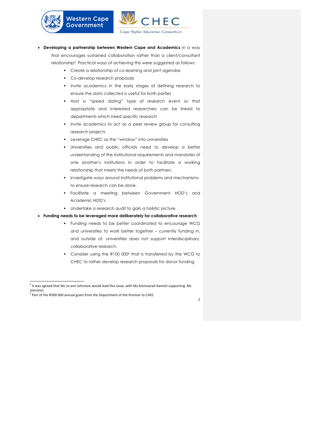





- **Developing a partnership between Western Cape and Academics** in a way that encourages sustained collaboration rather than a client/consultant relationship5. Practical ways of achieving this were suggested as follows:
	- § Create a relationship of co-learning and joint agendas
	- § Co-develop research proposals
	- § Invite academics in the early stages of defining research to ensure the data collected is useful for both parties
	- § Host a "speed dating" type of research event so that appropriate and interested researchers can be linked to departments which need specific research
	- Invite academics to act as a peer review group for consulting research projects
	- § Leverage CHEC as the "window" into universities
	- § Universities and public officials need to develop a better understanding of the institutional requirements and mandates of one another's institutions in order to facilitate a working relationship that meets the needs of both partners.
	- § Investigate ways around institutional problems and mechanisms to ensure research can be done.
	- § Facilitate a meeting between Government HOD's and Academic HOD's
	- § Undertake a research audit to gain a holistic picture.
- **Funding needs to be leveraged more deliberately for collaborative research**:
	- § Funding needs to be better coordinated to encourage WCG and universities to work better together – currently funding in, and outside of, universities does not support interdisciplinary, collaborative research.
	- § Consider using the R100 0006 that is transferred by the WCG to CHEC to rather develop research proposals for donor funding.



 $^5$  It was agreed that Ms Jo-ann Johnston would lead this issue, with Ms Ammaarah Kamish supporting Ms Johnston.<br> $^6$  Part of the R500 000 annual grant from the Department of the Premier to CHEC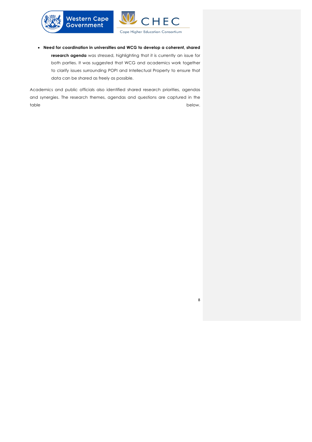



8

• **Need for coordination in universities and WCG to develop a coherent, shared research agenda** was stressed, highlighting that it is currently an issue for both parties. It was suggested that WCG and academics work together to clarify issues surrounding POPI and Intellectual Property to ensure that data can be shared as freely as possible.

Academics and public officials also identified shared research priorities, agendas and synergies. The research themes, agendas and questions are captured in the table below. The below of the below of the below. The below of the below.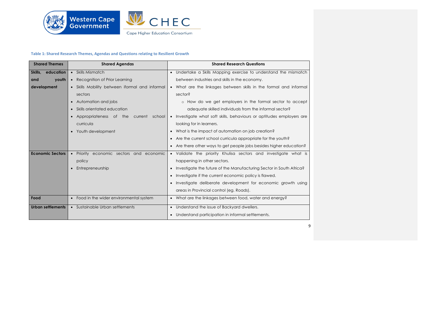

## **Table 1: Shared Research Themes, Agendas and Questions relating to Resilient Growth**

| <b>Shared Themes</b> |                          | <b>Shared Agendas</b>                        | <b>Shared Research Questions</b>                                      |  |
|----------------------|--------------------------|----------------------------------------------|-----------------------------------------------------------------------|--|
| Skills,              | education                | • Skills Mismatch                            | • Undertake a Skills Mapping exercise to understand the mismatch      |  |
| and                  | youth                    | Recognition of Prior Learning<br>$\bullet$   | between industries and skills in the economy.                         |  |
|                      | development              | Skills Mobility between iformal and informal | • What are the linkages between skills in the formal and informal     |  |
|                      |                          | sectors                                      | sector?                                                               |  |
|                      |                          | Automation and jobs<br>$\bullet$             | o How do we get employers in the formal sector to accept              |  |
|                      |                          | Skills orientated education                  | adequate skilled individuals from the informal sector?                |  |
|                      |                          | Appropriateness of the<br>current school     | • Investigate what soft skills, behaviours or aptitudes employers are |  |
|                      |                          | curricula                                    | looking for in learners.                                              |  |
|                      |                          | Youth development<br>$\bullet$               | What is the impact of automation on job creation?                     |  |
|                      |                          |                                              | Are the current school curricula appropriate for the youth?           |  |
|                      |                          |                                              | • Are there other ways to get people jobs besides higher education?   |  |
|                      | <b>Economic Sectors</b>  | Priority economic sectors and economic       | • Validate the priority Khulisa sectors and investigate what is       |  |
|                      |                          | policy                                       | happening in other sectors.                                           |  |
|                      |                          | Entrepreneurship                             | Investigate the future of the Manufacturing Sector in South Africa?   |  |
|                      |                          |                                              | Investigate if the current economic policy is flawed.                 |  |
|                      |                          |                                              | Investigate deliberate development for economic growth using          |  |
|                      |                          |                                              | areas in Provincial control (eg. Roads).                              |  |
| Food                 |                          | Food in the wider environmental system       | • What are the linkages between food, water and energy?               |  |
|                      | <b>Urban settlements</b> | • Sustainable Urban settlements              | • Understand the issue of Backyard dwellers.                          |  |
|                      |                          |                                              | Understand participation in informal settlements.                     |  |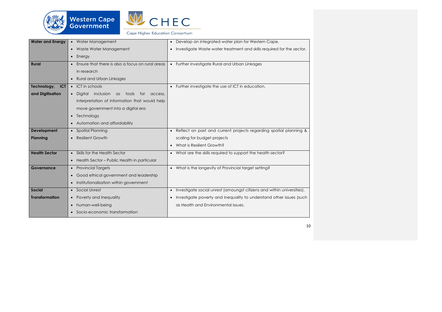



| <b>Water and Energy</b>   | • Water Management                                 | Develop an integrated water plan for Western Cape.                                  |
|---------------------------|----------------------------------------------------|-------------------------------------------------------------------------------------|
|                           | • Waste Water Management                           | Investigate Waste water treatment and skills required for the sector.               |
|                           | $\bullet$ Energy                                   |                                                                                     |
| <b>Rural</b>              | • Ensure that there is also a focus on rural areas | • Further investigate Rural and Urban Linkages                                      |
|                           | in research                                        |                                                                                     |
|                           | • Rural and Urban Linkages                         |                                                                                     |
| Technology,<br><b>ICT</b> | • ICT in schools                                   | Further investigate the use of ICT in education.                                    |
| and Digitisation          | · Digital inclusion as<br>tools<br>for<br>access,  |                                                                                     |
|                           | interpretation of information that would help      |                                                                                     |
|                           | move government into a digital era                 |                                                                                     |
|                           | • Technology                                       |                                                                                     |
|                           | • Automation and affordability                     |                                                                                     |
| Development               | • Spatial Planning                                 | Reflect on past and current projects regarding spatial planning &<br>$\bullet$      |
| Planning                  | <b>Resilient Growth</b>                            | scaling for budget projects                                                         |
|                           |                                                    | What is Resilient Growth?                                                           |
| <b>Health Sector</b>      | • Skills for the Health Sector                     | • What are the skills required to support the health sector?                        |
|                           | • Health Sector - Public Health in particular      |                                                                                     |
| Governance                | • Provincial Targets                               | • What is the longevity of Provincial target setting?                               |
|                           | • Good ethical government and leadership           |                                                                                     |
|                           | • Institutionalisation within government           |                                                                                     |
| <b>Social</b>             | • Social Unrest                                    | Investigate social unrest (amoungst citizens and within universities).<br>$\bullet$ |
| <b>Transformation</b>     | Poverty and Inequality                             | Investigate poverty and inequality to understand other issues (such                 |
|                           | human-well-being                                   | as Health and Environmental issues.                                                 |
|                           | • Socio-economic transformation                    |                                                                                     |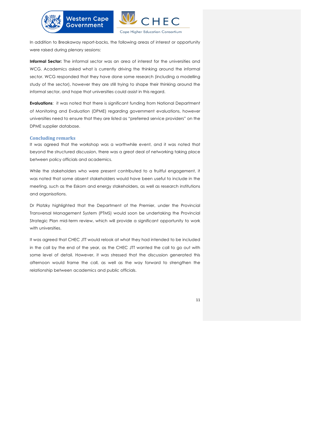

In addition to Breakaway report-backs, the following areas of interest or opportunity were raised during plenary sessions:

**Government** 

**Informal Sector:** The informal sector was an area of interest for the universities and WCG. Academics asked what is currently driving the thinking around the informal sector. WCG responded that they have done some research (including a modelling study of the sector), however they are still trying to shape their thinking around the informal sector, and hope that universities could assist in this regard.

**Evaluations**: it was noted that there is significant funding from National Department of Monitoring and Evaluation (DPME) regarding government evaluations, however universities need to ensure that they are listed as "preferred service providers" on the DPME supplier database.

#### **Concluding remarks**

It was agreed that the workshop was a worthwhile event, and it was noted that beyond the structured discussion, there was a great deal of networking taking place between policy officials and academics.

While the stakeholders who were present contributed to a fruitful engagement, it was noted that some absent stakeholders would have been useful to include in the meeting, such as the Eskom and energy stakeholders, as well as research institutions and organisations.

Dr Platzky highlighted that the Department of the Premier, under the Provincial Transversal Management System (PTMS) would soon be undertaking the Provincial Strategic Plan mid-term review, which will provide a significant opportunity to work with universities.

It was agreed that CHEC JTT would relook at what they had intended to be included in the call by the end of the year, as the CHEC JTT wanted the call to go out with some level of detail. However, it was stressed that the discussion generated this afternoon would frame the call, as well as the way forward to strengthen the relationship between academics and public officials.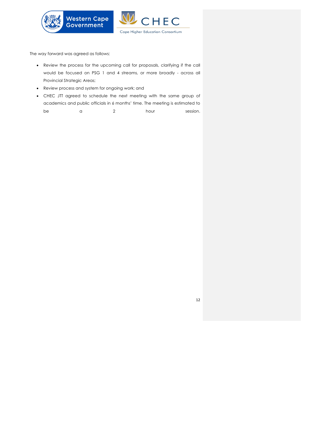

The way forward was agreed as follows:

- Review the process for the upcoming call for proposals, clarifying if the call would be focused on PSG 1 and 4 streams, or more broadly - across all Provincial Strategic Areas;
- Review process and system for ongoing work; and
- CHEC JTT agreed to schedule the next meeting with the same group of academics and public officials in 6 months' time. The meeting is estimated to be a 2 hour session.

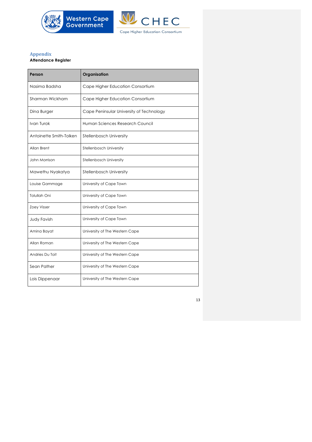

## **Appendix**

## **Attendance Register**

| Person                  | Organisation                             |
|-------------------------|------------------------------------------|
| Nasima Badsha           | Cape Higher Education Consortium         |
| Sharman Wickham         | Cape Higher Education Consortium         |
| Dina Burger             | Cape Peninsular University of Technology |
| Ivan Turok              | Human Sciences Research Council          |
| Antoinette Smith-Tolken | <b>Stellenbosch University</b>           |
| Allan Brent             | Stellenbosch University                  |
| John Morrison           | Stellenbosch University                  |
| Mawethu Nyakatya        | Stellenbosch University                  |
| Louise Gammage          | University of Cape Town                  |
| <b>Tolullah Oni</b>     | University of Cape Town                  |
| Zoey Visser             | University of Cape Town                  |
| <b>Judy Favish</b>      | University of Cape Town                  |
| Amina Bayat             | University of The Western Cape           |
| Allan Roman             | University of The Western Cape           |
| Andries Du Toit         | University of The Western Cape           |
| Sean Pather             | University of The Western Cape           |
| Lois Dippenaar          | University of The Western Cape           |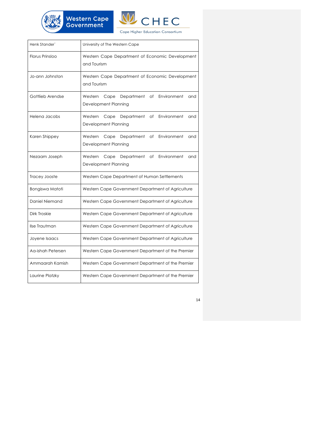



| Henk Stander`     | University of The Western Cape                                                    |  |
|-------------------|-----------------------------------------------------------------------------------|--|
| Florus Prinsloo   | Western Cape Department of Economic Development<br>and Tourism                    |  |
| Jo-ann Johnston   | Western Cape Department of Economic Development<br>and Tourism                    |  |
| Gottlieb Arendse  | Western<br>Department<br>Environment<br>Cape<br>of<br>and<br>Development Planning |  |
| Helena Jacobs     | Department<br>Western<br>Cape<br>of<br>Environment<br>and<br>Development Planning |  |
| Karen Shippey     | Western<br>Cape<br>Department<br>Environment<br>of<br>and<br>Development Planning |  |
| Nezaam Joseph     | Оf<br>Environment<br>Western<br>Cape<br>Department<br>and<br>Development Planning |  |
| Tracey Jooste     | Western Cape Department of Human Settlements                                      |  |
| Bongiswa Matoti   | Western Cape Government Department of Agriculture                                 |  |
| Daniel Niemand    | Western Cape Government Department of Agriculture                                 |  |
| Dirk Troskie      | Western Cape Government Department of Agriculture                                 |  |
| Ilse Trautman     | Western Cape Government Department of Agriculture                                 |  |
| Joyene Isaacs     | Western Cape Government Department of Agriculture                                 |  |
| Aa-ishah Petersen | Western Cape Government Department of the Premier                                 |  |
| Ammaarah Kamish   | Western Cape Government Department of the Premier                                 |  |
| Laurine Platzky   | Western Cape Government Department of the Premier                                 |  |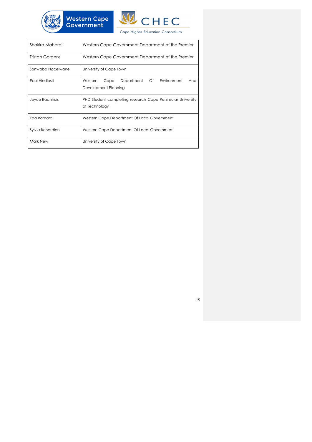



| Shakira Maharaj   | Western Cape Government Department of the Premier                           |  |
|-------------------|-----------------------------------------------------------------------------|--|
| Tristan Gorgens   | Western Cape Government Department of the Premier                           |  |
| Sonwabo Ngcelwane | University of Cape Town                                                     |  |
| Paul Hindiosti    | Department Of Environment<br>Western<br>Cape<br>And<br>Development Planning |  |
| Joyce Raanhuis    | PHD Student completing research Cape Peninsular University<br>of Technology |  |
| Eda Barnard       | Western Cape Department Of Local Government                                 |  |
| Sylvia Behardien  | Western Cape Department Of Local Government                                 |  |
| Mark New          | University of Cape Town                                                     |  |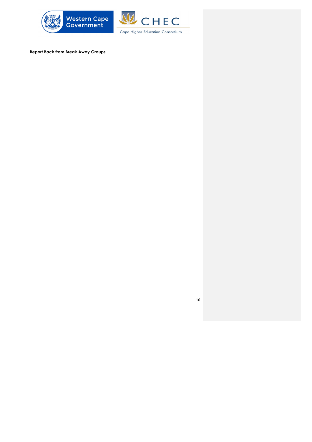



**Report Back from Break Away Groups**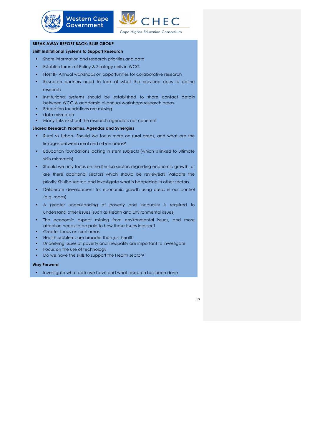

## **BREAK AWAY REPORT BACK: BLUE GROUP**

#### **Shift Institutional Systems to Support Research**

• Share information and research priorities and data

**Western Cape** 

**Government** 

- Establish forum of Policy & Strategy units in WCG
- Host Bi- Annual workshops on opportunities for collaborative research
- Research partners need to look at what the province does to define research
- Institutional systems should be established to share contact details between WCG & academic bi-annual workshops research areas-
- Education foundations are missing
- data mismatch
- Many links exist but the research agenda is not coherent

#### **Shared Research Priorities, Agendas and Synergies**

- Rural vs Urban- Should we focus more on rural areas, and what are the linkages between rural and urban areas?
- Education foundations lacking in stem subjects (which is linked to ultimate skills mismatch)
- Should we only focus on the Khulisa sectors regarding economic growth, or are there additional sectors which should be reviewed? Validate the priority Khulisa sectors and investigate what is happening in other sectors.
- Deliberate development for economic growth using areas in our control (e.g. roads)
- A greater understanding of poverty and inequality is required to understand other issues (such as Health and Environmental issues)
- The economic aspect missing from environmental issues, and more attention needs to be paid to how these issues intersect
- Greater focus on rural areas
- Health problems are broader than just health
- Underlying issues of poverty and inequality are important to investigate
- Focus on the use of technology
- Do we have the skills to support the Health sector?

#### **Way Forward**

• Investigate what data we have and what research has been done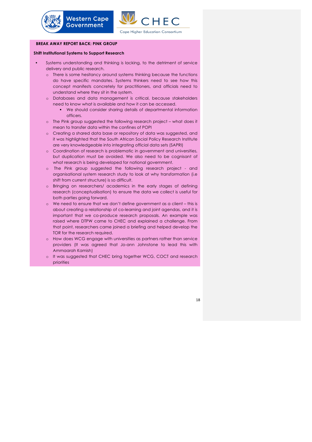

## **BREAK AWAY REPORT BACK: PINK GROUP**

#### **Shift Institutional Systems to Support Research**

**Western Cape** 

**Government** 

- Systems understanding and thinking is lacking, to the detriment of service delivery and public research.
	- o There is some hesitancy around systems thinking because the functions do have specific mandates. Systems thinkers need to see how this concept manifests concretely for practitioners, and officials need to understand where they sit in the system.
	- o Databases and data management is critical, because stakeholders need to know what is available and how it can be accessed.
		- § We should consider sharing details of departmental information officers.
	- o The Pink group suggested the following research project what does it mean to transfer data within the confines of POPI
	- o Creating a shared data base or repository of data was suggested, and it was highlighted that the South African Social Policy Research Institute are very knowledgeable into integrating official data sets (SAPRI)
	- o Coordination of research is problematic in government and universities, but duplication must be avoided. We also need to be cognisant of what research is being developed for national government.
	- o The Pink group suggested the following research project and organisational system research study to look at why transformation (i.e shift from current structure) is so difficult.
	- o Bringing on researchers/ academics in the early stages of defining research (conceptualisation) to ensure the data we collect is useful for both parties going forward.
	- o We need to ensure that we don't define government as a client this is about creating a relationship of co-learning and joint agendas, and it is important that we co-produce research proposals. An example was raised where DTPW came to CHEC and explained a challenge. From that point, researchers came joined a briefing and helped develop the TOR for the research required.
	- o How does WCG engage with universities as partners rather than service providers (It was agreed that Jo-ann Johnstone to lead this with Ammaarah Kamish)
	- o It was suggested that CHEC bring together WCG, COCT and research priorities

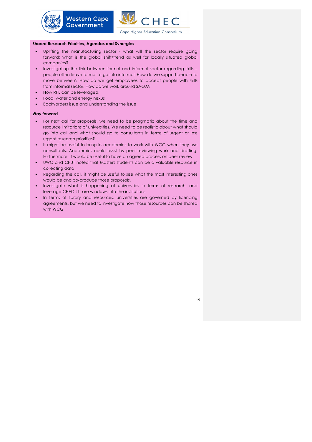

**Cape Higher Education Consortium** 

#### **Shared Research Priorities, Agendas and Synergies**

**Western Cape** 

**Government** 

- Uplifting the manufacturing sector what will the sector require going forward; what is the global shift/trend as well for locally situated global companies?
- Investigating the link between formal and informal sector regarding skills people often leave formal to go into informal. How do we support people to move between? How do we get employees to accept people with skills from informal sector. How do we work around SAQA?
- How RPL can be leveraged.
- Food, water and energy nexus
- Backyarders issue and understanding the issue

#### **Way forward**

- For next call for proposals, we need to be pragmatic about the time and resource limitations of universities. We need to be realistic about what should go into call and what should go to consultants in terms of urgent or less urgent research priorities?
- It might be useful to bring in academics to work with WCG when they use consultants. Academics could assist by peer reviewing work and drafting. Furthermore, it would be useful to have an agreed process on peer review
- UWC and CPUT noted that Masters students can be a valuable resource in collecting data
- Regarding the call, it might be useful to see what the most interesting ones would be and co-produce those proposals.
- Investigate what is happening at universities in terms of research, and leverage CHEC JTT are windows into the institutions
- In terms of library and resources, universities are governed by licencing agreements, but we need to investigate how those resources can be shared with WCG

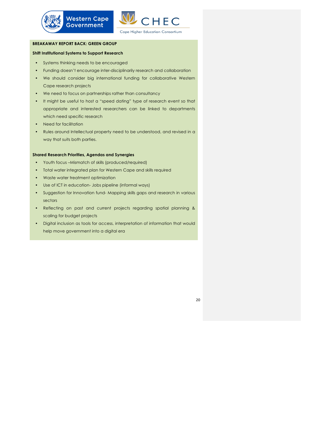

## **BREAKAWAY REPORT BACK: GREEN GROUP**

## **Shift Institutional Systems to Support Research**

• Systems thinking needs to be encouraged

**Western Cape** 

**Government** 

- Funding doesn't encourage inter-disciplinarily research and collaboration
- We should consider big international funding for collaborative Western Cape research projects
- We need to focus on partnerships rather than consultancy
- It might be useful to host a "speed dating" type of research event so that appropriate and interested researchers can be linked to departments which need specific research
- Need for facilitation
- Rules around Intellectual property need to be understood, and revised in a way that suits both parties.

#### **Shared Research Priorities, Agendas and Synergies**

- Youth focus –Mismatch of skills (produced/required)
- Total water integrated plan for Western Cape and skills required
- Waste water treatment optimization
- Use of ICT in education- Jobs pipeline (informal ways)
- Suggestion for Innovation fund- Mapping skills gaps and research in various sectors
- Reflecting on past and current projects regarding spatial planning & scaling for budget projects
- Digital inclusion as tools for access, interpretation of information that would help move government into a digital era